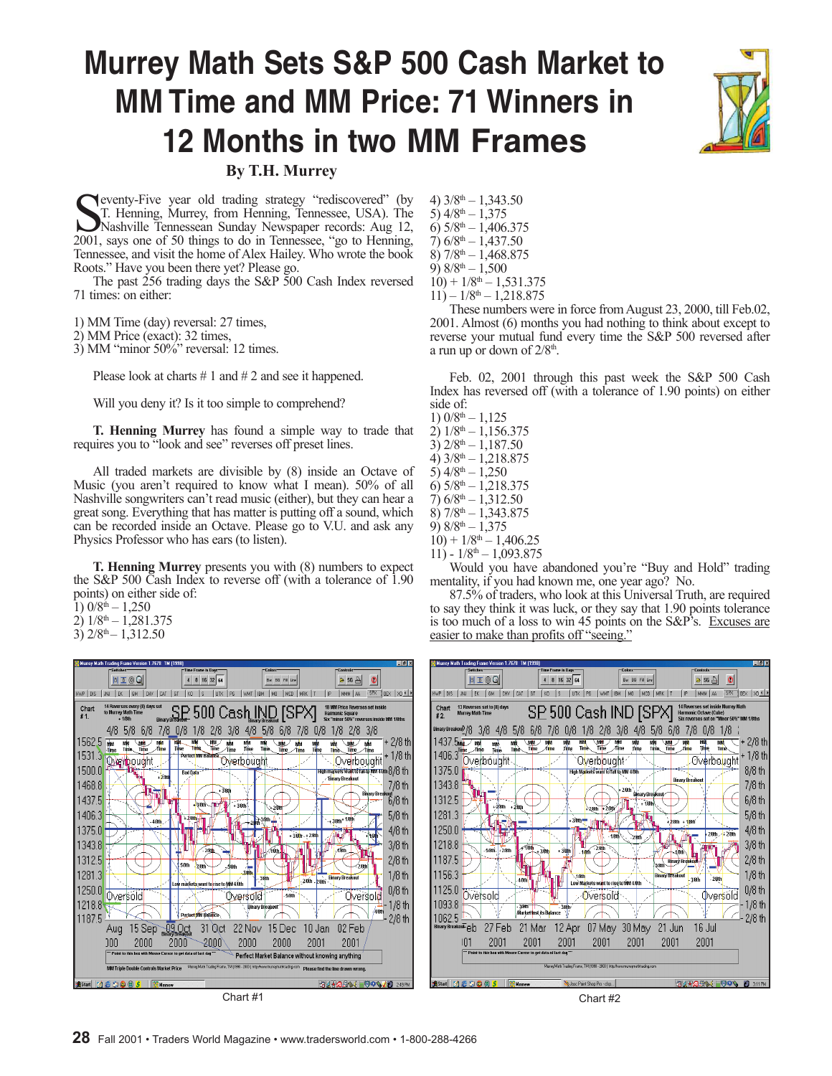# **Murrey Math Sets S&P 500 Cash Market to MM Time and MM Price: 71 Winners in 12 Months in two MM Frames**



**By T.H. Murrey**

Superventy-Five year old trading strategy "rediscovered" (by T. Henning, Murrey, from Henning, Tennessee, USA). The Nashville Tennessean Sunday Newspaper records: Aug 12, 2001, says one of 50 things to do in Tennessee, "go eventy-Five year old trading strategy "rediscovered" (by T. Henning, Murrey, from Henning, Tennessee, USA). The Nashville Tennessean Sunday Newspaper records: Aug 12, Tennessee, and visit the home of Alex Hailey. Who wrote the book Roots." Have you been there yet? Please go.

The past 256 trading days the S&P 500 Cash Index reversed 71 times: on either:

1) MM Time (day) reversal: 27 times,

2) MM Price (exact): 32 times,

3) MM "minor 50%" reversal: 12 times.

Please look at charts  $\# 1$  and  $\# 2$  and see it happened.

Will you deny it? Is it too simple to comprehend?

**T. Henning Murrey** has found a simple way to trade that requires you to "look and see" reverses off preset lines.

All traded markets are divisible by (8) inside an Octave of Music (you aren't required to know what I mean). 50% of all Nashville songwriters can't read music (either), but they can hear a great song. Everything that has matter is putting off a sound, which can be recorded inside an Octave. Please go to V.U. and ask any Physics Professor who has ears (to listen).

**T. Henning Murrey** presents you with (8) numbers to expect the S&P 500 Cash Index to reverse off (with a tolerance of 1.90 points) on either side of:

1)  $0/8^{th} - 1,250$ 

- $2)$   $1/8$ <sup>th</sup>  $1,281.375$
- 3)  $2/8$ <sup>th</sup> 1,312.50



4)  $3/8$ <sup>th</sup>  $- 1,343.50$ 5)  $4/8$ <sup>th</sup>  $-1,375$ 6)  $5/8$ <sup>th</sup>  $-1$ , 406.375  $(7)$  6/8<sup>th</sup> – 1,437.50 8)  $7/8$ <sup>th</sup>  $-1,468.875$ 9)  $8/8$ <sup>th</sup>  $-1,500$  $10$ ) +  $1/8$ <sup>th</sup> – 1,531.375  $11) - 1/8$ <sup>th</sup>  $- 1,218.875$ 

These numbers were in force from August 23, 2000, till Feb.02, 2001. Almost (6) months you had nothing to think about except to reverse your mutual fund every time the S&P 500 reversed after a run up or down of  $2/8<sup>th</sup>$ .

Feb. 02, 2001 through this past week the S&P 500 Cash Index has reversed off (with a tolerance of 1.90 points) on either side of:

1)  $0/8$ <sup>th</sup>  $-1,125$  $2)$   $1/8$ <sup>th</sup> – 1,156.375  $3)$   $2/8$ <sup>th</sup>  $- 1$ , 187.50 4)  $3/8$ <sup>th</sup>  $- 1,218.875$  $5)$  4/8<sup>th</sup> – 1,250 6)  $5/8$ <sup>th</sup>  $-1$ , 218.375  $7)$  6/8<sup>th</sup> – 1,312.50 8)  $7/8$ <sup>th</sup>  $-1.343.875$ 9)  $8/8$ <sup>th</sup>  $-1,375$  $10$ ) +  $1/8$ <sup>th</sup> – 1,406.25

 $11$ ) -  $1/8$ <sup>th</sup> - 1,093.875 Would you have abandoned you're "Buy and Hold" trading

mentality, if you had known me, one year ago? No. 87.5% of traders, who look at this Universal Truth, are required to say they think it was luck, or they say that 1.90 points tolerance is too much of a loss to win 45 points on the S&P's. Excuses are easier to make than profits off "seeing."

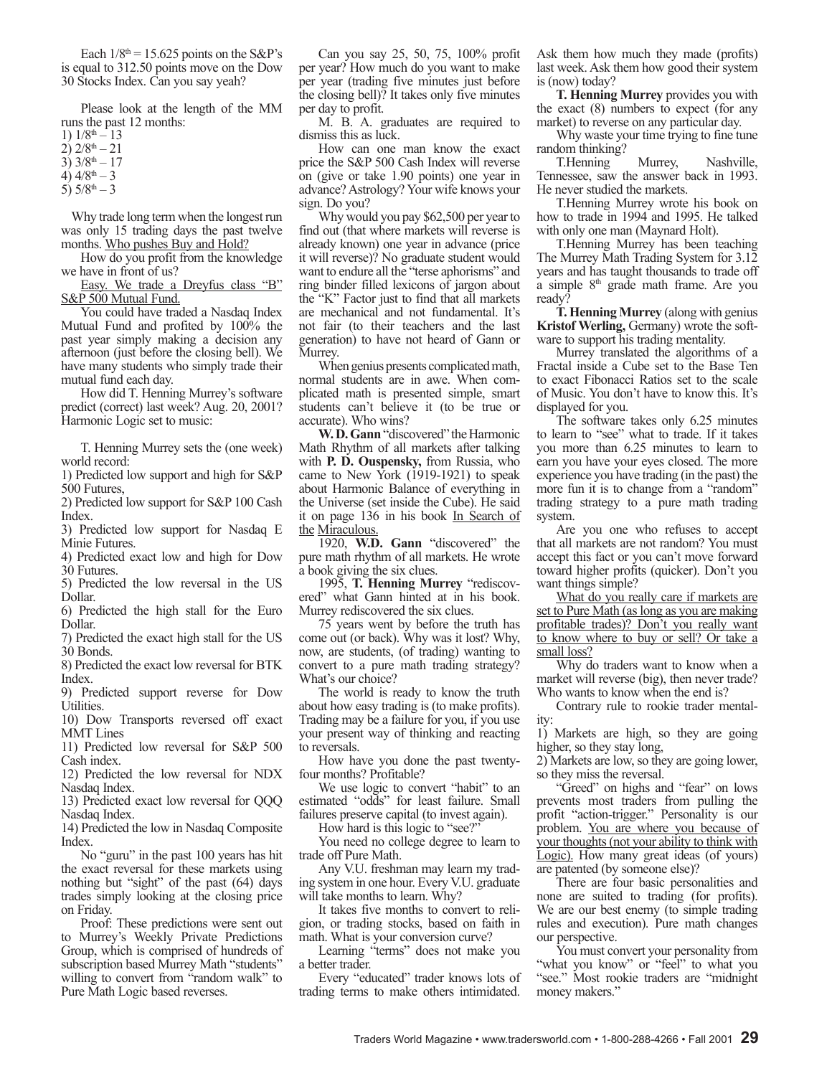Each  $1/8$ <sup>th</sup> = 15.625 points on the S&P's is equal to 312.50 points move on the Dow 30 Stocks Index. Can you say yeah?

Please look at the length of the MM runs the past 12 months:

- 1)  $1/8^{th} 13$
- $2)$  2/8<sup>th</sup> 21
- 3)  $3/8^{th} 17$
- 4)  $4/8$ <sup>th</sup> 3
- 5)  $5/8$ <sup>th</sup>  $-3$

 Why trade long term when the longest run was only 15 trading days the past twelve months. Who pushes Buy and Hold?

How do you profit from the knowledge we have in front of us?

Easy. We trade a Dreyfus class "B" S&P 500 Mutual Fund.

You could have traded a Nasdaq Index Mutual Fund and profited by 100% the past year simply making a decision any afternoon (just before the closing bell). We have many students who simply trade their mutual fund each day.

How did T. Henning Murrey's software predict (correct) last week? Aug. 20, 2001? Harmonic Logic set to music:

T. Henning Murrey sets the (one week) world record:

1) Predicted low support and high for S&P 500 Futures,

2) Predicted low support for S&P 100 Cash Index.

3) Predicted low support for Nasdaq E Minie Futures.

4) Predicted exact low and high for Dow 30 Futures.

5) Predicted the low reversal in the US Dollar.

6) Predicted the high stall for the Euro Dollar.

7) Predicted the exact high stall for the US 30 Bonds.

8) Predicted the exact low reversal for BTK Index.

9) Predicted support reverse for Dow Utilities.

10) Dow Transports reversed off exact MMT Lines

11) Predicted low reversal for S&P 500 Cash index.

12) Predicted the low reversal for NDX Nasdaq Index.

13) Predicted exact low reversal for QQQ Nasdaq Index.

14) Predicted the low in Nasdaq Composite Index.

No "guru" in the past 100 years has hit the exact reversal for these markets using nothing but "sight" of the past (64) days trades simply looking at the closing price on Friday.

Proof: These predictions were sent out to Murrey's Weekly Private Predictions Group, which is comprised of hundreds of subscription based Murrey Math "students" willing to convert from "random walk" to Pure Math Logic based reverses.

Can you say 25, 50, 75, 100% profit per year? How much do you want to make per year (trading five minutes just before the closing bell)? It takes only five minutes per day to profit.

M. B. A. graduates are required to dismiss this as luck.

How can one man know the exact price the S&P 500 Cash Index will reverse on (give or take 1.90 points) one year in advance? Astrology? Your wife knows your sign. Do you?

Why would you pay \$62,500 per year to find out (that where markets will reverse is already known) one year in advance (price it will reverse)? No graduate student would want to endure all the "terse aphorisms" and ring binder filled lexicons of jargon about the "K" Factor just to find that all markets are mechanical and not fundamental. It's not fair (to their teachers and the last generation) to have not heard of Gann or Murrey.

When genius presents complicated math, normal students are in awe. When complicated math is presented simple, smart students can't believe it (to be true or accurate). Who wins?

**W. D. Gann** "discovered" the Harmonic Math Rhythm of all markets after talking with **P. D. Ouspensky,** from Russia, who came to New York (1919-1921) to speak about Harmonic Balance of everything in the Universe (set inside the Cube). He said it on page 136 in his book In Search of the Miraculous.

1920, **W.D. Gann** "discovered" the pure math rhythm of all markets. He wrote a book giving the six clues.

1995, **T. Henning Murrey** "rediscovered" what Gann hinted at in his book. Murrey rediscovered the six clues.

75 years went by before the truth has come out (or back). Why was it lost? Why, now, are students, (of trading) wanting to convert to a pure math trading strategy? What's our choice?

The world is ready to know the truth about how easy trading is (to make profits). Trading may be a failure for you, if you use your present way of thinking and reacting to reversals.

How have you done the past twentyfour months? Profitable?

We use logic to convert "habit" to an estimated "odds" for least failure. Small failures preserve capital (to invest again).

How hard is this logic to "see?"

You need no college degree to learn to trade off Pure Math.

Any V.U. freshman may learn my trading system in one hour. Every V.U. graduate will take months to learn. Why?

It takes five months to convert to religion, or trading stocks, based on faith in math. What is your conversion curve?

Learning "terms" does not make you a better trader.

Every "educated" trader knows lots of trading terms to make others intimidated.

Ask them how much they made (profits) last week. Ask them how good their system is (now) today?

**T. Henning Murrey** provides you with the exact (8) numbers to expect (for any market) to reverse on any particular day.

Why waste your time trying to fine tune random thinking?

T.Henning Murrey, Nashville, Tennessee, saw the answer back in 1993. He never studied the markets.

T.Henning Murrey wrote his book on how to trade in 1994 and 1995. He talked with only one man (Maynard Holt).

T.Henning Murrey has been teaching The Murrey Math Trading System for 3.12 years and has taught thousands to trade off  $\alpha$  simple  $8<sup>th</sup>$  grade math frame. Are you ready?

**T. Henning Murrey** (along with genius **Kristof Werling,** Germany) wrote the software to support his trading mentality.

Murrey translated the algorithms of a Fractal inside a Cube set to the Base Ten to exact Fibonacci Ratios set to the scale of Music. You don't have to know this. It's displayed for you.

The software takes only 6.25 minutes to learn to "see" what to trade. If it takes you more than 6.25 minutes to learn to earn you have your eyes closed. The more experience you have trading (in the past) the more fun it is to change from a "random" trading strategy to a pure math trading system.

Are you one who refuses to accept that all markets are not random? You must accept this fact or you can't move forward toward higher profits (quicker). Don't you want things simple?

What do you really care if markets are set to Pure Math (as long as you are making profitable trades)? Don't you really want to know where to buy or sell? Or take a small loss?

Why do traders want to know when a market will reverse (big), then never trade? Who wants to know when the end is?

Contrary rule to rookie trader mentality:

1) Markets are high, so they are going higher, so they stay long,

2) Markets are low, so they are going lower, so they miss the reversal.

"Greed" on highs and "fear" on lows prevents most traders from pulling the profit "action-trigger." Personality is our problem. You are where you because of your thoughts (not your ability to think with Logic). How many great ideas (of yours) are patented (by someone else)?

There are four basic personalities and none are suited to trading (for profits). We are our best enemy (to simple trading rules and execution). Pure math changes our perspective.

You must convert your personality from "what you know" or "feel" to what you "see." Most rookie traders are "midnight money makers."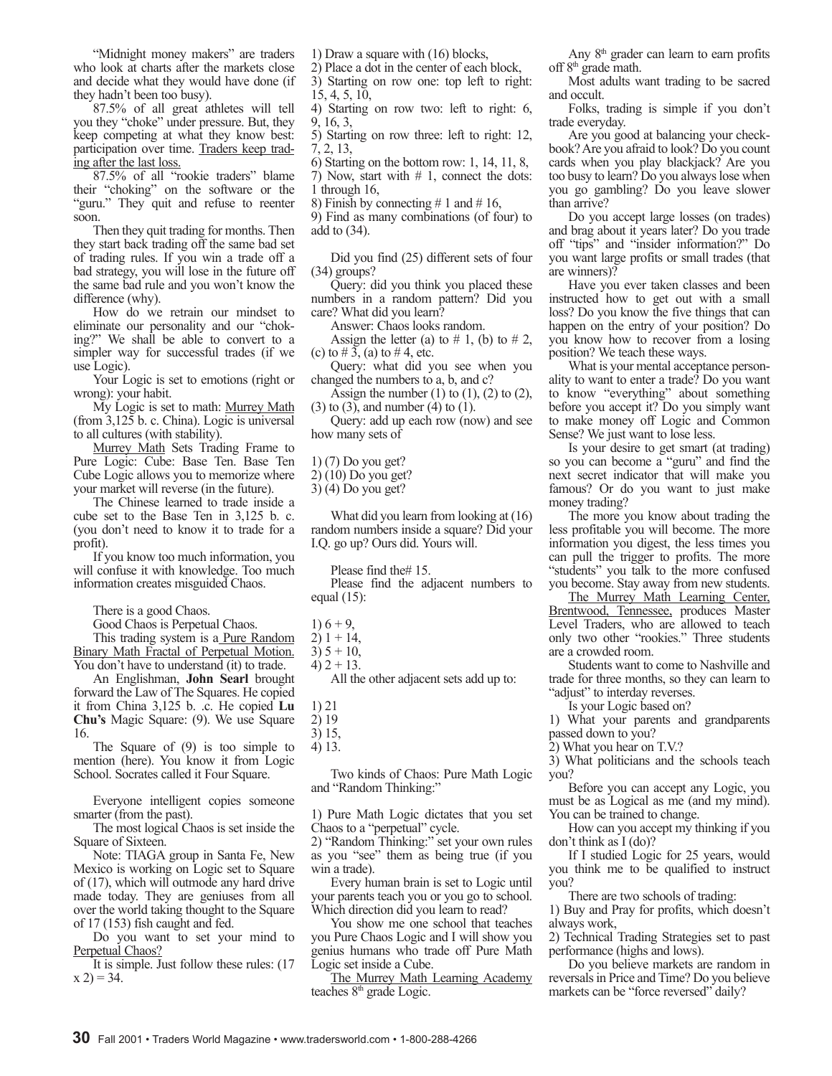"Midnight money makers" are traders who look at charts after the markets close and decide what they would have done (if they hadn't been too busy).

87.5% of all great athletes will tell you they "choke" under pressure. But, they keep competing at what they know best: participation over time. Traders keep trading after the last loss.

87.5% of all "rookie traders" blame their "choking" on the software or the "guru." They quit and refuse to reenter soon.

Then they quit trading for months. Then they start back trading off the same bad set of trading rules. If you win a trade off a bad strategy, you will lose in the future off the same bad rule and you won't know the difference (why).

How do we retrain our mindset to eliminate our personality and our "choking?" We shall be able to convert to a simpler way for successful trades (if we use Logic).

Your Logic is set to emotions (right or wrong): your habit.

My Logic is set to math: Murrey Math (from 3,125 b. c. China). Logic is universal to all cultures (with stability).

Murrey Math Sets Trading Frame to Pure Logic: Cube: Base Ten. Base Ten Cube Logic allows you to memorize where your market will reverse (in the future).

The Chinese learned to trade inside a cube set to the Base Ten in 3,125 b. c. (you don't need to know it to trade for a profit).

If you know too much information, you will confuse it with knowledge. Too much information creates misguided Chaos.

There is a good Chaos.

Good Chaos is Perpetual Chaos.

This trading system is a **Pure Random** Binary Math Fractal of Perpetual Motion. You don't have to understand (it) to trade.

An Englishman, **John Searl** brought forward the Law of The Squares. He copied it from China 3,125 b. .c. He copied **Lu Chu's** Magic Square: (9). We use Square 16.

The Square of (9) is too simple to mention (here). You know it from Logic School. Socrates called it Four Square.

Everyone intelligent copies someone smarter (from the past).

The most logical Chaos is set inside the Square of Sixteen.

Note: TIAGA group in Santa Fe, New Mexico is working on Logic set to Square of (17), which will outmode any hard drive made today. They are geniuses from all over the world taking thought to the Square of 17 (153) fish caught and fed.

Do you want to set your mind to Perpetual Chaos?

It is simple. Just follow these rules: (17  $(x 2) = 34.$ 

1) Draw a square with (16) blocks,

2) Place a dot in the center of each block, 3) Starting on row one: top left to right:

15, 4, 5, 10, 4) Starting on row two: left to right: 6,

9, 16, 3, 5) Starting on row three: left to right: 12,

7, 2, 13, 6) Starting on the bottom row: 1, 14, 11, 8,

7) Now, start with # 1, connect the dots: 1 through 16,

8) Finish by connecting  $\# 1$  and  $\# 16$ ,

9) Find as many combinations (of four) to add to (34).

Did you find (25) different sets of four (34) groups?

Query: did you think you placed these numbers in a random pattern? Did you care? What did you learn?

Answer: Chaos looks random.

Assign the letter (a) to  $# 1$ , (b) to  $# 2$ , (c) to  $\# 3$ , (a) to  $\# 4$ , etc.

Query: what did you see when you changed the numbers to a, b, and c?

Assign the number  $(1)$  to  $(1)$ ,  $(2)$  to  $(2)$ , (3) to (3), and number (4) to (1).

Query: add up each row (now) and see how many sets of

1) (7) Do you get?

2) (10) Do you get?

3) (4) Do you get?

What did you learn from looking at (16) random numbers inside a square? Did your I.Q. go up? Ours did. Yours will.

Please find the# 15.

Please find the adjacent numbers to equal (15):

 $1) 6 + 9.$ 

 $3) 5 + 10,$ 

All the other adjacent sets add up to:

1) 21

2) 19

3) 15,

4) 13.

Two kinds of Chaos: Pure Math Logic and "Random Thinking:"

1) Pure Math Logic dictates that you set Chaos to a "perpetual" cycle.

2) "Random Thinking:" set your own rules as you "see" them as being true (if you win a trade).

Every human brain is set to Logic until your parents teach you or you go to school. Which direction did you learn to read?

You show me one school that teaches you Pure Chaos Logic and I will show you genius humans who trade off Pure Math Logic set inside a Cube.

The Murrey Math Learning Academy teaches 8<sup>th</sup> grade Logic.

Any  $8<sup>th</sup>$  grader can learn to earn profits

Most adults want trading to be sacred and occult.

Folks, trading is simple if you don't trade everyday.

Are you good at balancing your checkbook? Are you afraid to look? Do you count cards when you play blackjack? Are you too busy to learn? Do you always lose when you go gambling? Do you leave slower than arrive?

Do you accept large losses (on trades) and brag about it years later? Do you trade off "tips" and "insider information?" Do you want large profits or small trades (that are winners)?

Have you ever taken classes and been instructed how to get out with a small loss? Do you know the five things that can happen on the entry of your position? Do you know how to recover from a losing position? We teach these ways.

What is your mental acceptance personality to want to enter a trade? Do you want to know "everything" about something before you accept it? Do you simply want to make money off Logic and Common Sense? We just want to lose less.

Is your desire to get smart (at trading) so you can become a "guru" and find the next secret indicator that will make you famous? Or do you want to just make money trading?

The more you know about trading the less profitable you will become. The more information you digest, the less times you can pull the trigger to profits. The more "students" you talk to the more confused you become. Stay away from new students.

The Murrey Math Learning Center, Brentwood, Tennessee, produces Master Level Traders, who are allowed to teach only two other "rookies." Three students are a crowded room.

Students want to come to Nashville and trade for three months, so they can learn to "adjust" to interday reverses.

Is your Logic based on?

1) What your parents and grandparents passed down to you?

2) What you hear on T.V.?

3) What politicians and the schools teach you?

Before you can accept any Logic, you must be as Logical as me (and my mind). You can be trained to change.

How can you accept my thinking if you don't think as I (do)?

If I studied Logic for 25 years, would you think me to be qualified to instruct you?

There are two schools of trading:

1) Buy and Pray for profits, which doesn't always work,

2) Technical Trading Strategies set to past performance (highs and lows).

Do you believe markets are random in reversals in Price and Time? Do you believe markets can be "force reversed" daily?

off 8<sup>th</sup> grade math.

 $2)$  1 + 14,

<sup>4)</sup>  $2 + 13$ .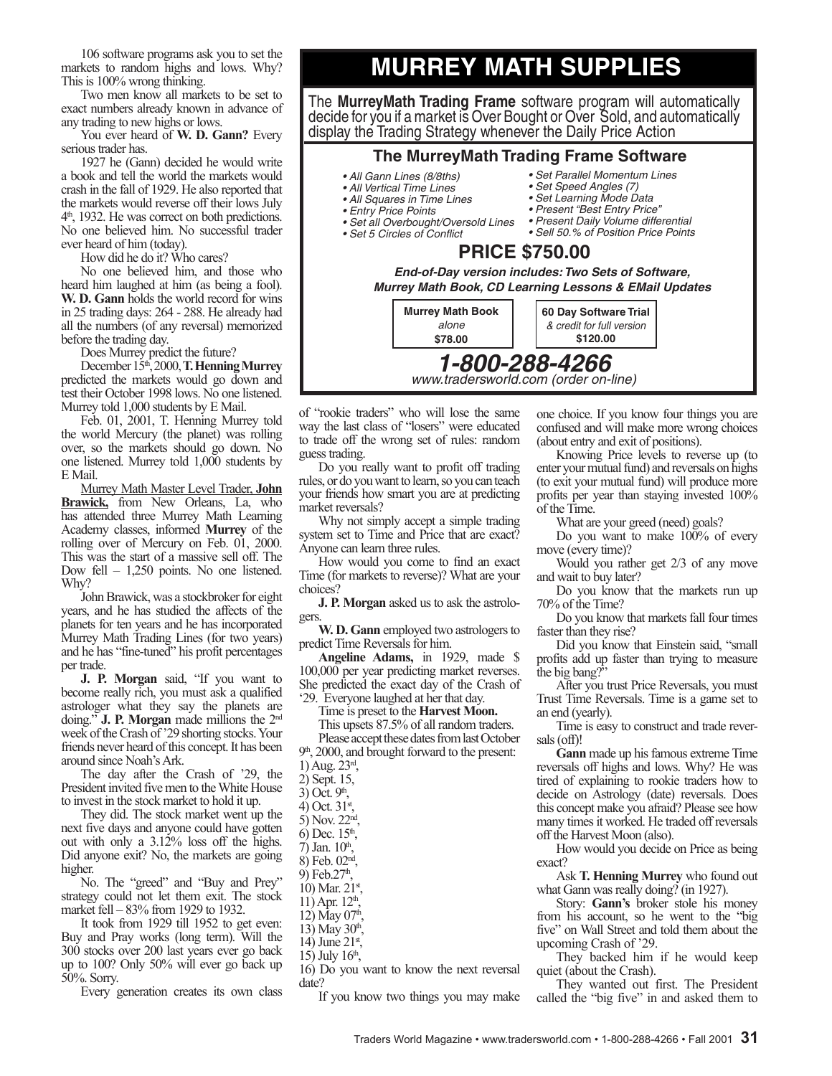106 software programs ask you to set the markets to random highs and lows. Why? This is 100% wrong thinking.

Two men know all markets to be set to exact numbers already known in advance of any trading to new highs or lows.

You ever heard of **W. D. Gann?** Every serious trader has.

1927 he (Gann) decided he would write a book and tell the world the markets would crash in the fall of 1929. He also reported that the markets would reverse off their lows July 4 th, 1932. He was correct on both predictions. No one believed him. No successful trader ever heard of him (today).

How did he do it? Who cares?

No one believed him, and those who heard him laughed at him (as being a fool). **W. D. Gann** holds the world record for wins in 25 trading days: 264 - 288. He already had all the numbers (of any reversal) memorized before the trading day.

Does Murrey predict the future?

December 15th, 2000, **T. Henning Murrey** predicted the markets would go down and test their October 1998 lows. No one listened. Murrey told 1,000 students by E Mail.

Feb. 01, 2001, T. Henning Murrey told the world Mercury (the planet) was rolling over, so the markets should go down. No one listened. Murrey told 1,000 students by E Mail.

Murrey Math Master Level Trader, **John Brawick,** from New Orleans, La, who has attended three Murrey Math Learning Academy classes, informed **Murrey** of the rolling over of Mercury on Feb. 01, 2000. This was the start of a massive sell off. The Dow fell – 1,250 points. No one listened. Why?

John Brawick, was a stockbroker for eight years, and he has studied the affects of the planets for ten years and he has incorporated Murrey Math Trading Lines (for two years) and he has "fine-tuned" his profit percentages per trade.

**J. P. Morgan** said, "If you want to become really rich, you must ask a qualified astrologer what they say the planets are doing." **J. P. Morgan** made millions the 2nd week of the Crash of '29 shorting stocks. Your friends never heard of this concept. It has been around since Noah's Ark.

The day after the Crash of '29, the President invited five men to the White House to invest in the stock market to hold it up.

They did. The stock market went up the next five days and anyone could have gotten out with only a 3.12% loss off the highs. Did anyone exit? No, the markets are going higher.

No. The "greed" and "Buy and Prey" strategy could not let them exit. The stock market fell – 83% from 1929 to 1932.

It took from 1929 till 1952 to get even: Buy and Pray works (long term). Will the 300 stocks over 200 last years ever go back up to 100? Only 50% will ever go back up 50%. Sorry.

Every generation creates its own class

## **MURREY MATH SUPPLIES**

The **MurreyMath Trading Frame** software program will automatically decide for you if a market is Over Bought or Over Sold, and automatically display the Trading Strategy whenever the Daily Price Action

### **The MurreyMath Trading Frame Software**

- All Gann Lines (8/8ths)
- All Vertical Time Lines
- All Squares in Time Lines
- Entry Price Points
- Set all Overbought/Oversold Lines
- Set 5 Circles of Conflict
- Set Parallel Momentum Lines • Set Speed Angles (7)
- 
- · Set Learning Mode Data • Present "Best Entry Price"
- Present Daily Volume differential
- Sell 50.% of Position Price Points

### **PRICE \$750.00**

**End-of-Day version includes: Two Sets of Software, Murrey Math Book, CD Learning Lessons & EMail Updates Murrey Math Book** alone **60 Day Software Trial** 

of "rookie traders" who will lose the same way the last class of "losers" were educated to trade off the wrong set of rules: random guess trading.

Do you really want to profit off trading rules, or do you want to learn, so you can teach your friends how smart you are at predicting market reversals?

Why not simply accept a simple trading system set to Time and Price that are exact? Anyone can learn three rules.

How would you come to find an exact Time (for markets to reverse)? What are your choices?

**J. P. Morgan** asked us to ask the astrologers.

**W. D. Gann** employed two astrologers to predict Time Reversals for him.

**Angeline Adams,** in 1929, made \$ 100,000 per year predicting market reverses. She predicted the exact day of the Crash of '29. Everyone laughed at her that day.

Time is preset to the **Harvest Moon.**

This upsets 87.5% of all random traders.

Please accept these dates from last October 9 th, 2000, and brought forward to the present:

- 1) Aug. 23rd ,
- 2) Sept. 15,
- $3)$  Oct.  $9<sup>th</sup>$ ,
- 4) Oct.  $31^{\rm st}$ ,
- 5) Nov. 22nd ,
- 6) Dec.  $15^{\text{th}}$ ,
- $(7)$  Jan.  $10^{\text{th}}$ ,
- 8) Feb. 02nd ,
- 9) Feb.27<sup>th</sup>  $\frac{1}{2}$
- 10) Mar.  $21^{\text{st}}$ ,
- $11)$  Apr.  $12<sup>th</sup>$ ,
- 12) May  $07<sup>th</sup>$ ,
- 13) May  $30^{\text{th}}$ ,
- 14) June  $21^{\text{st}}$ ,
- 15) July  $16^{\text{th}}$ ,

16) Do you want to know the next reversal date?

If you know two things you may make

one choice. If you know four things you are confused and will make more wrong choices (about entry and exit of positions).

Knowing Price levels to reverse up (to enter your mutual fund) and reversals on highs (to exit your mutual fund) will produce more profits per year than staying invested 100% of the Time.

What are your greed (need) goals?

Do you want to make 100% of every move (every time)?

Would you rather get 2/3 of any move and wait to buy later?

Do you know that the markets run up 70% of the Time?

Do you know that markets fall four times faster than they rise?

Did you know that Einstein said, "small profits add up faster than trying to measure the big bang?

After you trust Price Reversals, you must Trust Time Reversals. Time is a game set to an end (yearly).

Time is easy to construct and trade reversals (off)!

**Gann** made up his famous extreme Time reversals off highs and lows. Why? He was tired of explaining to rookie traders how to decide on Astrology (date) reversals. Does this concept make you afraid? Please see how many times it worked. He traded off reversals off the Harvest Moon (also).

How would you decide on Price as being exact?

Ask **T. Henning Murrey** who found out what Gann was really doing? (in 1927).

Story: **Gann's** broker stole his money from his account, so he went to the "big five" on Wall Street and told them about the upcoming Crash of '29.

They backed him if he would keep quiet (about the Crash).

They wanted out first. The President called the "big five" in and asked them to

**1-800-288-4266** www.tradersworld.com (order on-line) \$78.00 & credit for full version \$120.00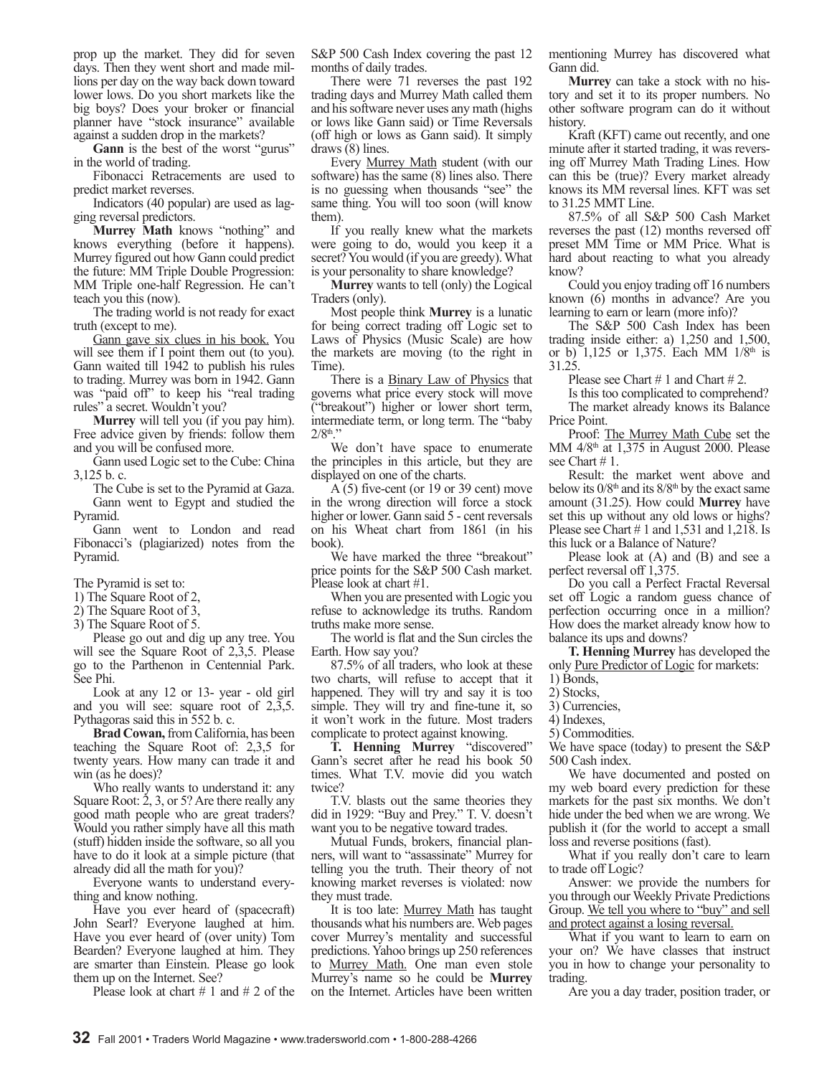prop up the market. They did for seven days. Then they went short and made millions per day on the way back down toward lower lows. Do you short markets like the big boys? Does your broker or financial planner have "stock insurance" available against a sudden drop in the markets?

**Gann** is the best of the worst "gurus" in the world of trading.

Fibonacci Retracements are used to predict market reverses.

Indicators (40 popular) are used as lagging reversal predictors.

**Murrey Math** knows "nothing" and knows everything (before it happens). Murrey figured out how Gann could predict the future: MM Triple Double Progression: MM Triple one-half Regression. He can't teach you this (now).

The trading world is not ready for exact truth (except to me).

Gann gave six clues in his book. You will see them if I point them out (to you). Gann waited till 1942 to publish his rules to trading. Murrey was born in 1942. Gann was "paid off" to keep his "real trading rules" a secret. Wouldn't you?

**Murrey** will tell you (if you pay him). Free advice given by friends: follow them and you will be confused more.

Gann used Logic set to the Cube: China 3,125 b. c.

The Cube is set to the Pyramid at Gaza. Gann went to Egypt and studied the Pyramid.

Gann went to London and read Fibonacci's (plagiarized) notes from the Pyramid.

The Pyramid is set to:

- 1) The Square Root of 2,
- 2) The Square Root of 3,
- 3) The Square Root of 5.

Please go out and dig up any tree. You will see the Square Root of 2,3,5. Please go to the Parthenon in Centennial Park. See Phi.

Look at any 12 or 13- year - old girl and you will see: square root of 2,3,5. Pythagoras said this in 552 b. c.

**Brad Cowan,** from California, has been teaching the Square Root of: 2,3,5 for twenty years. How many can trade it and win (as he does)?

Who really wants to understand it: any Square Root:  $2$ , 3, or 5? Are there really any good math people who are great traders? Would you rather simply have all this math (stuff) hidden inside the software, so all you have to do it look at a simple picture (that already did all the math for you)?

Everyone wants to understand everything and know nothing.

Have you ever heard of (spacecraft) John Searl? Everyone laughed at him. Have you ever heard of (over unity) Tom Bearden? Everyone laughed at him. They are smarter than Einstein. Please go look them up on the Internet. See?

Please look at chart  $\# 1$  and  $\# 2$  of the

S&P 500 Cash Index covering the past 12 months of daily trades.

There were 71 reverses the past 192 trading days and Murrey Math called them and his software never uses any math (highs or lows like Gann said) or Time Reversals (off high or lows as Gann said). It simply draws (8) lines.

Every Murrey Math student (with our software) has the same (8) lines also. There is no guessing when thousands "see" the same thing. You will too soon (will know them).

If you really knew what the markets were going to do, would you keep it a secret? You would (if you are greedy). What is your personality to share knowledge?

**Murrey** wants to tell (only) the Logical Traders (only).

Most people think **Murrey** is a lunatic for being correct trading off Logic set to Laws of Physics (Music Scale) are how the markets are moving (to the right in Time).

There is a **Binary Law of Physics** that governs what price every stock will move ("breakout") higher or lower short term, intermediate term, or long term. The "baby  $2/8^{\text{th}}$ ."

We don't have space to enumerate the principles in this article, but they are displayed on one of the charts.

A (5) five-cent (or 19 or 39 cent) move in the wrong direction will force a stock higher or lower. Gann said 5 - cent reversals on his Wheat chart from 1861 (in his book).

We have marked the three "breakout" price points for the S&P 500 Cash market. Please look at chart #1.

When you are presented with Logic you refuse to acknowledge its truths. Random truths make more sense.

The world is flat and the Sun circles the Earth. How say you?

87.5% of all traders, who look at these two charts, will refuse to accept that it happened. They will try and say it is too simple. They will try and fine-tune it, so it won't work in the future. Most traders complicate to protect against knowing.

**T. Henning Murrey** "discovered" Gann's secret after he read his book 50 times. What T.V. movie did you watch twice?

T.V. blasts out the same theories they did in 1929: "Buy and Prey." T. V. doesn't want you to be negative toward trades.

Mutual Funds, brokers, financial planners, will want to "assassinate" Murrey for telling you the truth. Their theory of not knowing market reverses is violated: now they must trade.

It is too late: Murrey Math has taught thousands what his numbers are. Web pages cover Murrey's mentality and successful predictions. Yahoo brings up 250 references to Murrey Math. One man even stole Murrey's name so he could be **Murrey** on the Internet. Articles have been written mentioning Murrey has discovered what Gann did.

**Murrey** can take a stock with no history and set it to its proper numbers. No other software program can do it without history.

Kraft (KFT) came out recently, and one minute after it started trading, it was reversing off Murrey Math Trading Lines. How can this be (true)? Every market already knows its MM reversal lines. KFT was set to 31.25 MMT Line.

87.5% of all S&P 500 Cash Market reverses the past (12) months reversed off preset MM Time or MM Price. What is hard about reacting to what you already know?

Could you enjoy trading off 16 numbers known (6) months in advance? Are you learning to earn or learn (more info)?

The S&P 500 Cash Index has been trading inside either: a) 1,250 and 1,500, or b) 1,125 or 1,375. Each MM  $1/8<sup>th</sup>$  is 31.25.

Please see Chart # 1 and Chart # 2.

Is this too complicated to comprehend?

The market already knows its Balance Price Point.

Proof: The Murrey Math Cube set the MM  $4/8<sup>th</sup>$  at 1,375 in August 2000. Please see Chart # 1.

Result: the market went above and below its  $0/8<sup>th</sup>$  and its  $8/8<sup>th</sup>$  by the exact same amount (31.25). How could **Murrey** have set this up without any old lows or highs? Please see Chart  $# 1$  and 1,531 and 1,218. Is this luck or a Balance of Nature?

Please look at (A) and (B) and see a perfect reversal off 1,375.

Do you call a Perfect Fractal Reversal set off Logic a random guess chance of perfection occurring once in a million? How does the market already know how to balance its ups and downs?

**T. Henning Murrey** has developed the only Pure Predictor of Logic for markets:

1) Bonds,

- 2) Stocks,
- 3) Currencies,
- 4) Indexes,

5) Commodities.

We have space (today) to present the S&P 500 Cash index.

We have documented and posted on my web board every prediction for these markets for the past six months. We don't hide under the bed when we are wrong. We publish it (for the world to accept a small loss and reverse positions (fast).

What if you really don't care to learn to trade off Logic?

Answer: we provide the numbers for you through our Weekly Private Predictions Group. We tell you where to "buy" and sell and protect against a losing reversal.

What if you want to learn to earn on your on? We have classes that instruct you in how to change your personality to trading.

Are you a day trader, position trader, or